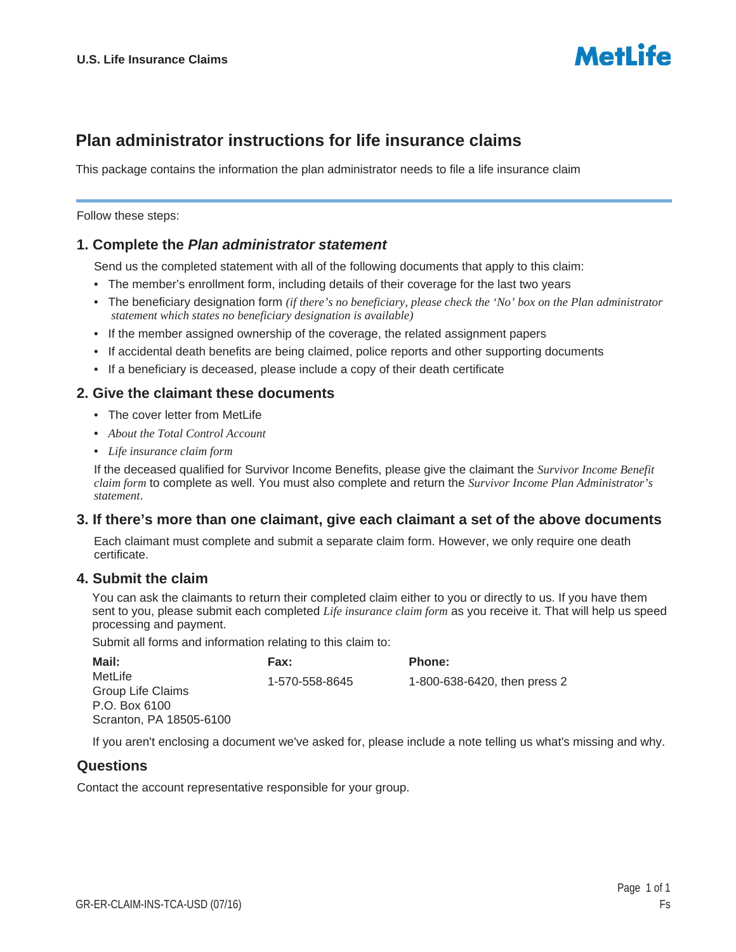

# **Plan administrator instructions for life insurance claims**

This package contains the information the plan administrator needs to file a life insurance claim

Follow these steps:

### **1. Complete the** *Plan administrator statement*

Send us the completed statement with all of the following documents that apply to this claim:

- The member's enrollment form, including details of their coverage for the last two years
- The beneficiary designation form *(if there's no beneficiary, please check the 'No' box on the Plan administrator statement which states no beneficiary designation is available)*
- If the member assigned ownership of the coverage, the related assignment papers
- If accidental death benefits are being claimed, police reports and other supporting documents
- If a beneficiary is deceased, please include a copy of their death certificate

#### **2. Give the claimant these documents**

- The cover letter from MetLife
- *About the Total Control Account*
- *Life insurance claim form*

If the deceased qualified for Survivor Income Benefits, please give the claimant the *Survivor Income Benefit claim form* to complete as well. You must also complete and return the *Survivor Income Plan Administrator's statement*.

#### **3. If there's more than one claimant, give each claimant a set of the above documents**

Each claimant must complete and submit a separate claim form. However, we only require one death certificate.

#### **4. Submit the claim**

You can ask the claimants to return their completed claim either to you or directly to us. If you have them sent to you, please submit each completed *Life insurance claim form* as you receive it. That will help us speed processing and payment.

Submit all forms and information relating to this claim to:

| Mail:                   | <b>Fax:</b>    | <b>Phone:</b>                |
|-------------------------|----------------|------------------------------|
| MetLife                 | 1-570-558-8645 | 1-800-638-6420, then press 2 |
| Group Life Claims       |                |                              |
| P.O. Box 6100           |                |                              |
| Scranton, PA 18505-6100 |                |                              |
|                         |                |                              |

If you aren't enclosing a document we've asked for, please include a note telling us what's missing and why.

# **Questions**

Contact the account representative responsible for your group.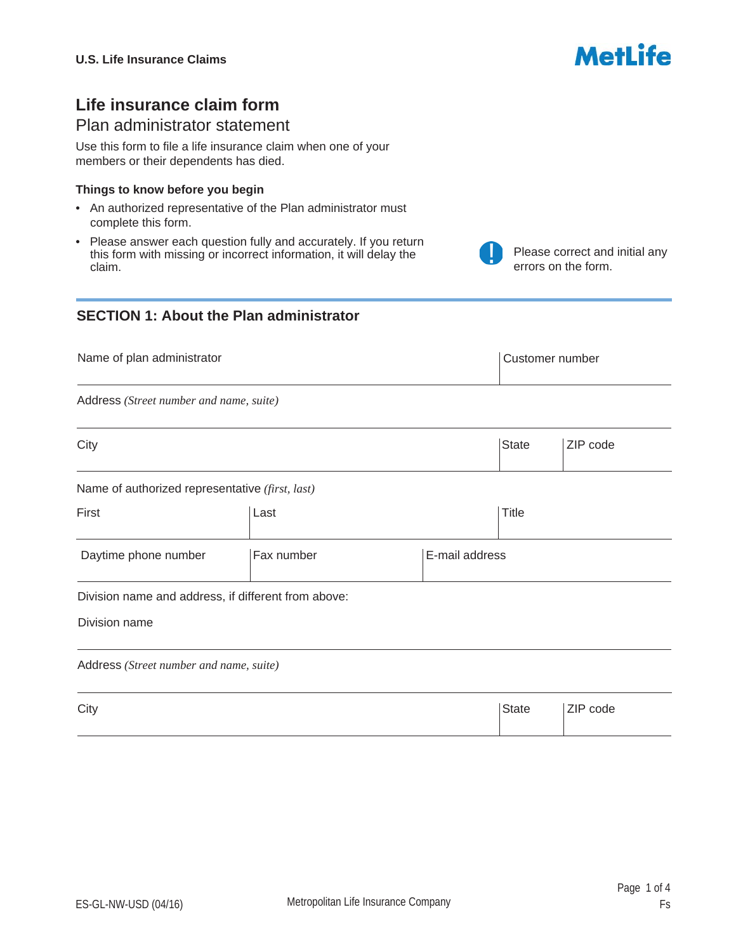# Metl ife

Please correct and initial any

errors on the form.

# **Life insurance claim form**

# Plan administrator statement

Use this form to file a life insurance claim when one of your members or their dependents has died.

#### **Things to know before you begin**

- An authorized representative of the Plan administrator must complete this form.
- Please answer each question fully and accurately. If you return this form with missing or incorrect information, it will delay the claim.

# **SECTION 1: About the Plan administrator**

| Name of plan administrator |                                                 | Customer number          |
|----------------------------|-------------------------------------------------|--------------------------|
|                            | Address (Street number and name, suite)         |                          |
| City                       |                                                 | <b>State</b><br>ZIP code |
|                            | Name of authorized representative (first, last) |                          |
| First                      | Last                                            | <b>Title</b>             |

| Daytime phone number | Fax number | E-mail address |  |
|----------------------|------------|----------------|--|

Division name and address, if different from above:

Division name

Address *(Street number and name, suite)*

City **State** ZIP code  $\boxed{\blacksquare}$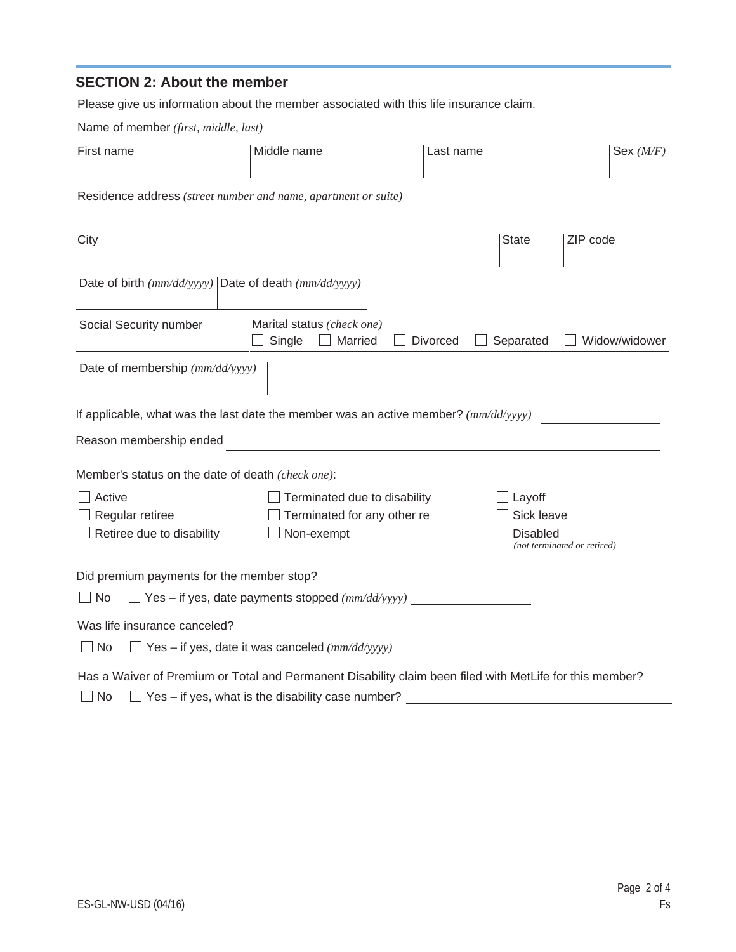# **SECTION 2: About the member**

Please give us information about the member associated with this life insurance claim.

Name of member *(first, middle, last)*

| First name                                                                                                   | Middle name                                                                    | Last name                                                                                                | Sex $(M/F)$<br>$\vert \bm{\nabla} \vert$ |  |
|--------------------------------------------------------------------------------------------------------------|--------------------------------------------------------------------------------|----------------------------------------------------------------------------------------------------------|------------------------------------------|--|
| Residence address (street number and name, apartment or suite)                                               |                                                                                |                                                                                                          |                                          |  |
| City                                                                                                         |                                                                                | <b>State</b><br>ZIP code<br>$\vert \mathbf{v} \vert$                                                     |                                          |  |
| Date of birth $(mm/dd/yyyy)$ Date of death $(mm/dd/yyyy)$                                                    |                                                                                |                                                                                                          |                                          |  |
| Social Security number                                                                                       | Marital status (check one)<br>Single<br>Married<br>$\blacksquare$              | <b>Divorced</b><br>Separated                                                                             | Widow/widower                            |  |
| Date of membership (mm/dd/yyyy)                                                                              |                                                                                |                                                                                                          |                                          |  |
| If applicable, what was the last date the member was an active member? $\left(\frac{mm}{d\sqrt{yyy}}\right)$ |                                                                                |                                                                                                          |                                          |  |
| Reason membership ended                                                                                      |                                                                                |                                                                                                          |                                          |  |
| Member's status on the date of death (check one):                                                            |                                                                                |                                                                                                          |                                          |  |
| Active<br>Regular retiree<br>Retiree due to disability                                                       | Terminated due to disability<br>Terminated for any other re<br>Non-exempt      | Layoff<br>Sick leave<br><b>Disabled</b><br>(not terminated or retired)                                   |                                          |  |
| Did premium payments for the member stop?                                                                    |                                                                                |                                                                                                          |                                          |  |
| $\Box$ Yes – if yes, date payments stopped $(mm/dd/yyyy)$<br>$\Box$ No                                       |                                                                                |                                                                                                          |                                          |  |
| Was life insurance canceled?<br>$\Box$ No                                                                    | $\Box$ Yes – if yes, date it was canceled $\left(\frac{mm}{dd}{\rangle}$ yyyy) |                                                                                                          |                                          |  |
|                                                                                                              |                                                                                | Has a Waiver of Premium or Total and Permanent Disability claim been filed with MetLife for this member? |                                          |  |

No Yes – if yes, what is the disability case number?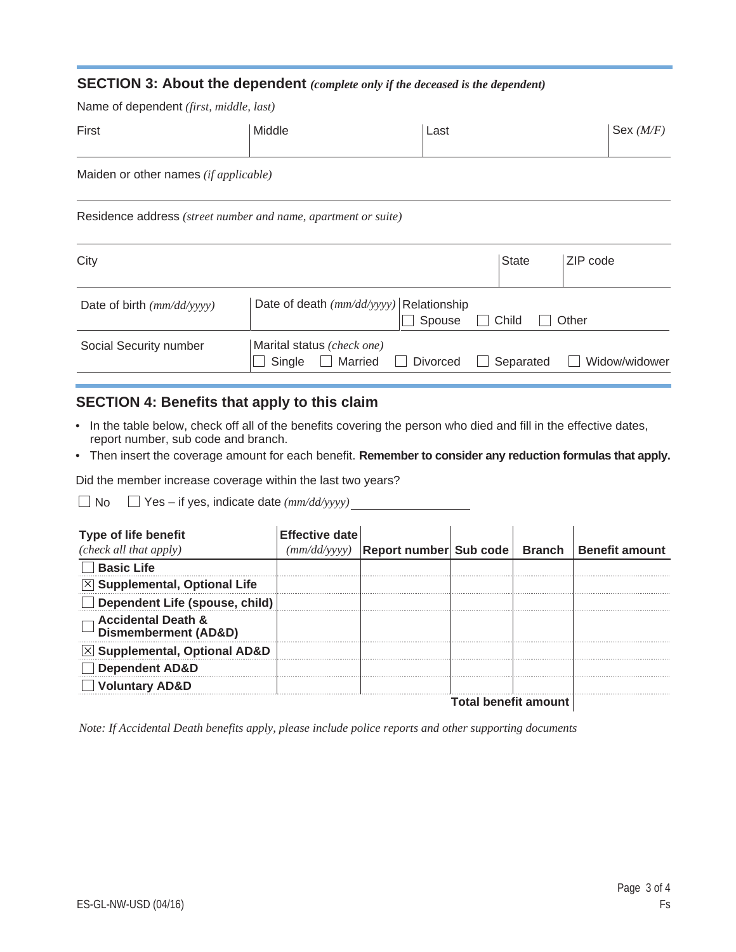#### **SECTION 3: About the dependent** *(complete only if the deceased is the dependent)*

Name of dependent *(first, middle, last)*

| First                                                          | Middle                                  | Last                       | Sex $(M/F)$               |
|----------------------------------------------------------------|-----------------------------------------|----------------------------|---------------------------|
| Maiden or other names (if applicable)                          |                                         |                            |                           |
| Residence address (street number and name, apartment or suite) |                                         |                            |                           |
| City                                                           |                                         | <b>State</b>               | ZIP code                  |
| Date of birth $(mm/dd/yyyy)$                                   | Date of death (mm/dd/yyyy) Relationship | $\Box$ Chouse $\Box$ Child | $\bigcup$ $\bigcap$ there |

| City                         |                                                                         | <b>State</b><br>⊺∠iP code                  |
|------------------------------|-------------------------------------------------------------------------|--------------------------------------------|
| Date of birth $(mm/dd/yyyy)$ | Date of death $(mm/dd/yyyy)$ Relationship<br>$\Box$ Spouse $\Box$ Child | $\Box$ Other                               |
| Social Security number       | Marital status (check one)<br>$\Box$ Single $\Box$ Married<br>Divorced  | Widow/widower<br>Separated<br>$\mathbf{L}$ |

# **SECTION 4: Benefits that apply to this claim**

- In the table below, check off all of the benefits covering the person who died and fill in the effective dates, report number, sub code and branch.
- Then insert the coverage amount for each benefit. **Remember to consider any reduction formulas that apply.**

Did the member increase coverage within the last two years?

No Yes – if yes, indicate date *(mm/dd/yyyy)*

| <b>Type of life benefit</b>                                      | <b>Effective date</b> |                                         |                             |               |                       |
|------------------------------------------------------------------|-----------------------|-----------------------------------------|-----------------------------|---------------|-----------------------|
| (check all that apply)                                           |                       | (mm/dd/yyyy)   Report number   Sub code |                             | <b>Branch</b> | <b>Benefit amount</b> |
| <b>Basic Life</b>                                                |                       |                                         |                             |               |                       |
| $\boxtimes$ Supplemental, Optional Life                          |                       |                                         |                             |               |                       |
| Dependent Life (spouse, child)                                   |                       |                                         |                             |               |                       |
| <b>Accidental Death &amp;</b><br><b>Dismemberment (AD&amp;D)</b> |                       |                                         |                             |               |                       |
| $\times$ Supplemental, Optional AD&D                             |                       |                                         |                             |               |                       |
| <b>Dependent AD&amp;D</b>                                        |                       |                                         |                             |               |                       |
| <b>Voluntary AD&amp;D</b>                                        |                       |                                         |                             |               |                       |
|                                                                  |                       |                                         | <b>Total benefit amount</b> |               |                       |

*Note: If Accidental Death benefits apply, please include police reports and other supporting documents*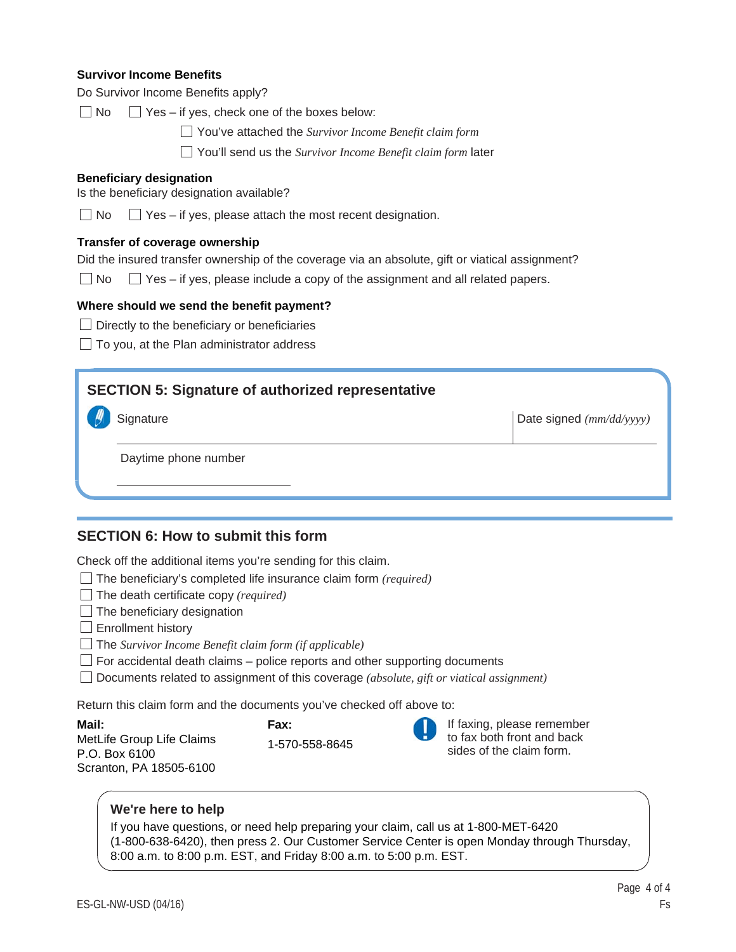#### **Survivor Income Benefits**

| Do Survivor Income Benefits apply? |  |  |  |
|------------------------------------|--|--|--|
|------------------------------------|--|--|--|

 $\Box$  No  $\Box$  Yes – if yes, check one of the boxes below:

You've attached the *Survivor Income Benefit claim form*

You'll send us the *Survivor Income Benefit claim form* later

#### **Beneficiary designation**

Is the beneficiary designation available?

 $\Box$  No  $\Box$  Yes – if yes, please attach the most recent designation.

#### **Transfer of coverage ownership**

Did the insured transfer ownership of the coverage via an absolute, gift or viatical assignment?

 $\Box$  No  $\Box$  Yes – if yes, please include a copy of the assignment and all related papers.

#### **Where should we send the benefit payment?**

- $\Box$  Directly to the beneficiary or beneficiaries
- $\Box$  To you, at the Plan administrator address

# **SECTION 5: Signature of authorized representative**

**Signature** 

Date signed *(mm/dd/yyyy)*

Daytime phone number

# **SECTION 6: How to submit this form**

Check off the additional items you're sending for this claim.

- The beneficiary's completed life insurance claim form *(required)*
- The death certificate copy *(required)*
- $\Box$  The beneficiary designation
- $\Box$  Enrollment history
- The *Survivor Income Benefit claim form (if applicable)*
- $\Box$  For accidental death claims police reports and other supporting documents

Documents related to assignment of this coverage *(absolute, gift or viatical assignment)*

Return this claim form and the documents you've checked off above to:

**Mail:** MetLife Group Life Claims P.O. Box 6100 Scranton, PA 18505-6100





If faxing, please remember to fax both front and back sides of the claim form.

#### **We're here to help**

If you have questions, or need help preparing your claim, call us at 1-800-MET-6420 (1-800-638-6420), then press 2. Our Customer Service Center is open Monday through Thursday, 8:00 a.m. to 8:00 p.m. EST, and Friday 8:00 a.m. to 5:00 p.m. EST.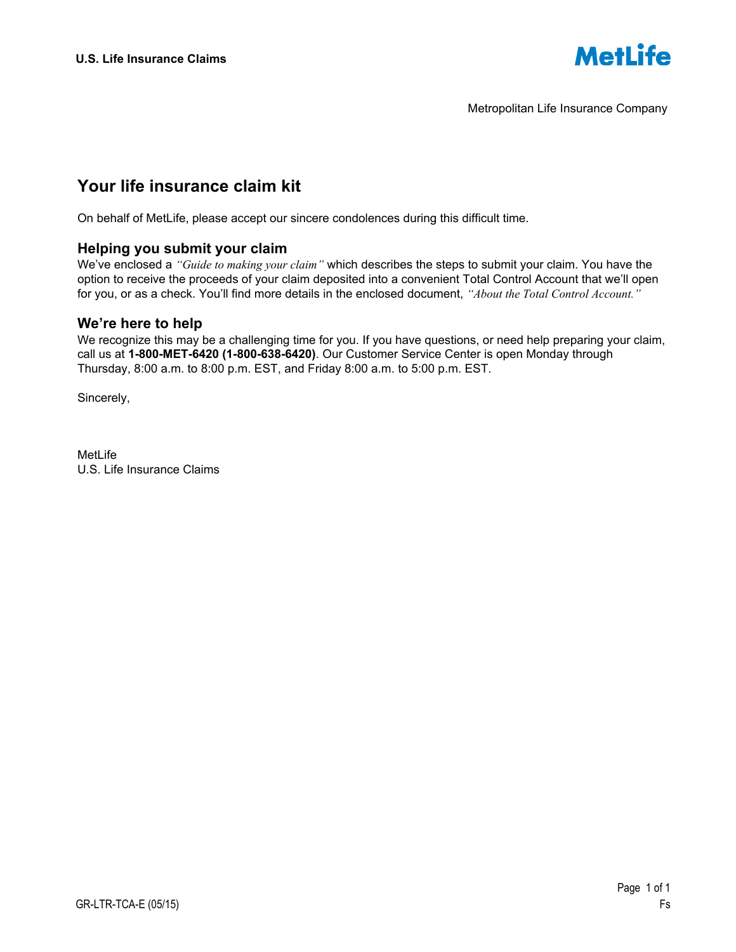

Metropolitan Life Insurance Company

# **Your life insurance claim kit**

On behalf of MetLife, please accept our sincere condolences during this difficult time.

### **Helping you submit your claim**

We've enclosed a *"Guide to making your claim"* which describes the steps to submit your claim. You have the option to receive the proceeds of your claim deposited into a convenient Total Control Account that we'll open for you, or as a check. You'll find more details in the enclosed document, *"About the Total Control Account."* 

#### **We're here to help**

We recognize this may be a challenging time for you. If you have questions, or need help preparing your claim, call us at **1-800-MET-6420 (1-800-638-6420)**. Our Customer Service Center is open Monday through Thursday, 8:00 a.m. to 8:00 p.m. EST, and Friday 8:00 a.m. to 5:00 p.m. EST.

Sincerely,

MetLife U.S. Life Insurance Claims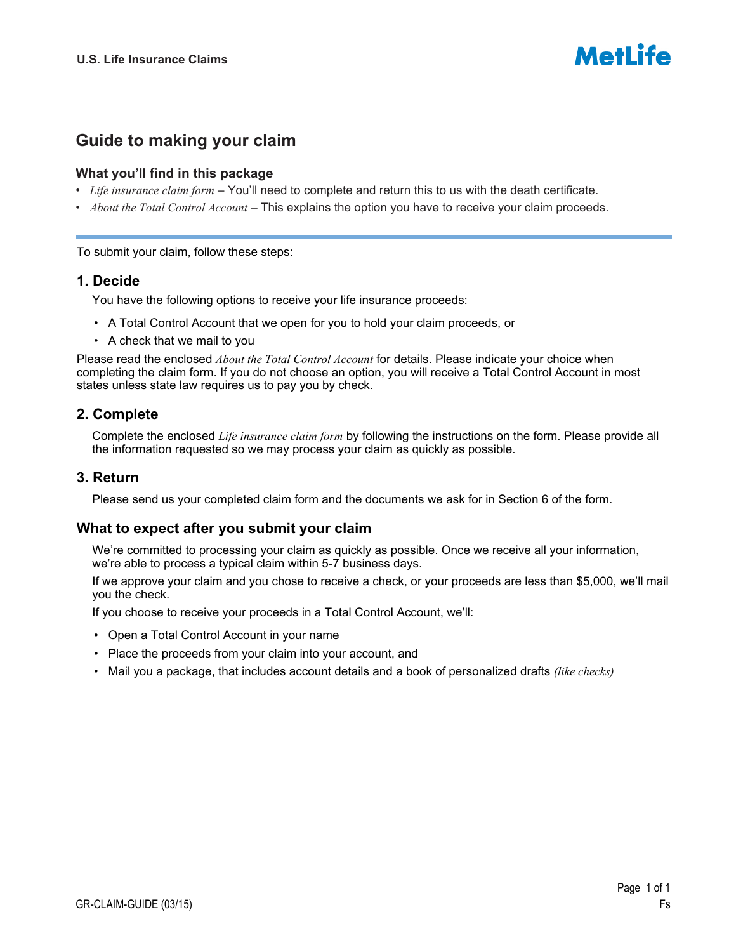

# **Guide to making your claim**

### **What you'll find in this package**

- *Life insurance claim form* You'll need to complete and return this to us with the death certificate.
- *About the Total Control Account* This explains the option you have to receive your claim proceeds.

To submit your claim, follow these steps:

### **1. Decide**

You have the following options to receive your life insurance proceeds:

- A Total Control Account that we open for you to hold your claim proceeds, or
- A check that we mail to you

Please read the enclosed *About the Total Control Account* for details. Please indicate your choice when completing the claim form. If you do not choose an option, you will receive a Total Control Account in most states unless state law requires us to pay you by check.

# **2. Complete**

Complete the enclosed *Life insurance claim form* by following the instructions on the form. Please provide all the information requested so we may process your claim as quickly as possible.

# **3. Return**

Please send us your completed claim form and the documents we ask for in Section 6 of the form.

# **What to expect after you submit your claim**

We're committed to processing your claim as quickly as possible. Once we receive all your information, we're able to process a typical claim within 5-7 business days.

If we approve your claim and you chose to receive a check, or your proceeds are less than \$5,000, we'll mail you the check.

If you choose to receive your proceeds in a Total Control Account, we'll:

- Open a Total Control Account in your name
- Place the proceeds from your claim into your account, and
- Mail you a package, that includes account details and a book of personalized drafts *(like checks)*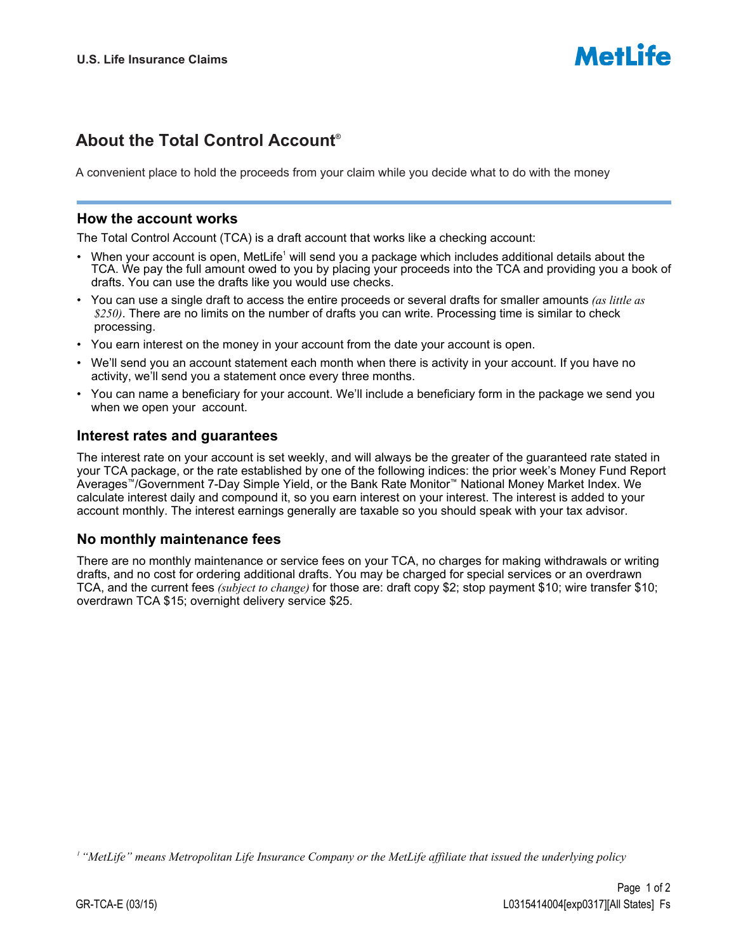# **About the Total Control Account**®

A convenient place to hold the proceeds from your claim while you decide what to do with the money

#### **How the account works**

The Total Control Account (TCA) is a draft account that works like a checking account:

- When your account is open, MetLife<sup>1</sup> will send you a package which includes additional details about the TCA. We pay the full amount owed to you by placing your proceeds into the TCA and providing you a book of drafts. You can use the drafts like you would use checks.
- You can use a single draft to access the entire proceeds or several drafts for smaller amounts *(as little as \$250)*. There are no limits on the number of drafts you can write. Processing time is similar to check processing.
- You earn interest on the money in your account from the date your account is open.
- We'll send you an account statement each month when there is activity in your account. If you have no activity, we'll send you a statement once every three months.
- You can name a beneficiary for your account. We'll include a beneficiary form in the package we send you when we open your account.

# **Interest rates and guarantees**

The interest rate on your account is set weekly, and will always be the greater of the guaranteed rate stated in your TCA package, or the rate established by one of the following indices: the prior week's Money Fund Report Averages™/Government 7-Day Simple Yield, or the Bank Rate Monitor™ National Money Market Index. We calculate interest daily and compound it, so you earn interest on your interest. The interest is added to your account monthly. The interest earnings generally are taxable so you should speak with your tax advisor.

# **No monthly maintenance fees**

There are no monthly maintenance or service fees on your TCA, no charges for making withdrawals or writing drafts, and no cost for ordering additional drafts. You may be charged for special services or an overdrawn TCA, and the current fees *(subject to change)* for those are: draft copy \$2; stop payment \$10; wire transfer \$10; overdrawn TCA \$15; overnight delivery service \$25.

*1 "MetLife" means Metropolitan Life Insurance Company or the MetLife affiliate that issued the underlying policy*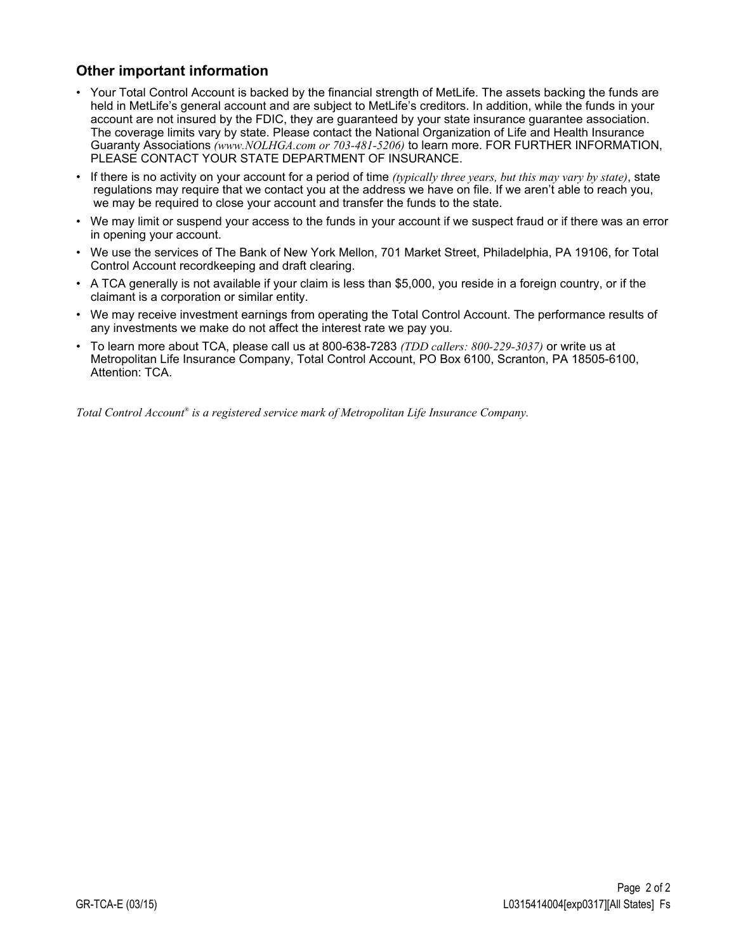# **Other important information**

- Your Total Control Account is backed by the financial strength of MetLife. The assets backing the funds are held in MetLife's general account and are subject to MetLife's creditors. In addition, while the funds in your account are not insured by the FDIC, they are guaranteed by your state insurance guarantee association. The coverage limits vary by state. Please contact the National Organization of Life and Health Insurance Guaranty Associations *(www.NOLHGA.com or 703-481-5206)* to learn more. FOR FURTHER INFORMATION, PLEASE CONTACT YOUR STATE DEPARTMENT OF INSURANCE.
- If there is no activity on your account for a period of time *(typically three years, but this may vary by state)*, state regulations may require that we contact you at the address we have on file. If we aren't able to reach you, we may be required to close your account and transfer the funds to the state.
- We may limit or suspend your access to the funds in your account if we suspect fraud or if there was an error in opening your account.
- We use the services of The Bank of New York Mellon, 701 Market Street, Philadelphia, PA 19106, for Total Control Account recordkeeping and draft clearing.
- A TCA generally is not available if your claim is less than \$5,000, you reside in a foreign country, or if the claimant is a corporation or similar entity.
- We may receive investment earnings from operating the Total Control Account. The performance results of any investments we make do not affect the interest rate we pay you.
- To learn more about TCA, please call us at 800-638-7283 *(TDD callers: 800-229-3037)* or write us at Metropolitan Life Insurance Company, Total Control Account, PO Box 6100, Scranton, PA 18505-6100, Attention: TCA.

*Total Control Account® is a registered service mark of Metropolitan Life Insurance Company.*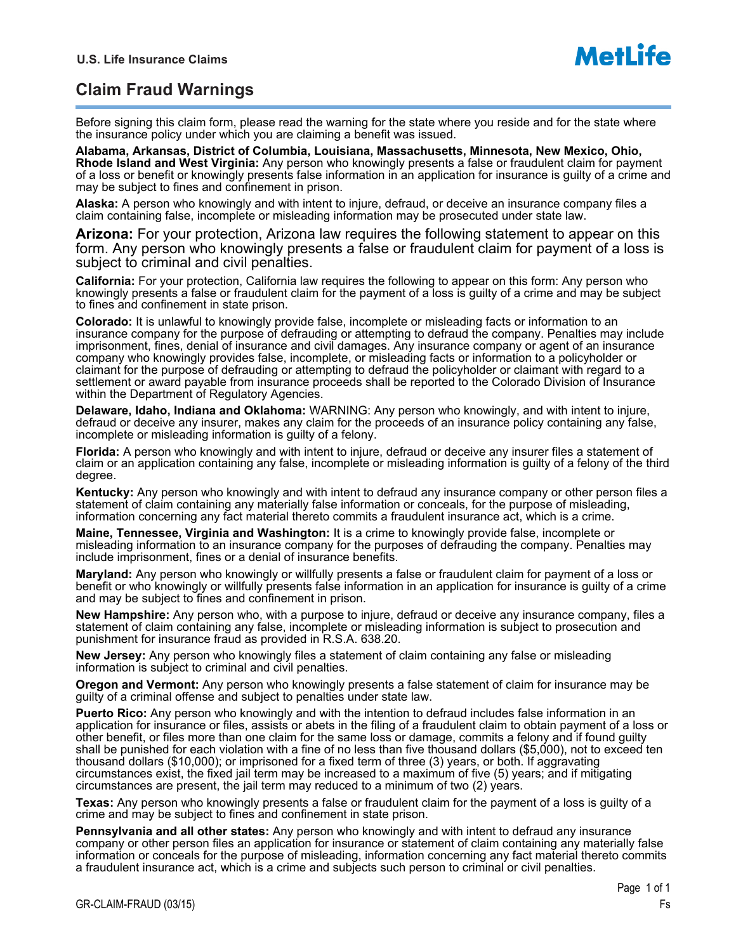# **Claim Fraud Warnings**

Before signing this claim form, please read the warning for the state where you reside and for the state where the insurance policy under which you are claiming a benefit was issued.

**Alabama, Arkansas, District of Columbia, Louisiana, Massachusetts, Minnesota, New Mexico, Ohio, Rhode Island and West Virginia:** Any person who knowingly presents a false or fraudulent claim for payment of a loss or benefit or knowingly presents false information in an application for insurance is guilty of a crime and may be subject to fines and confinement in prison.

**Alaska:** A person who knowingly and with intent to injure, defraud, or deceive an insurance company files a claim containing false, incomplete or misleading information may be prosecuted under state law.

**Arizona:** For your protection, Arizona law requires the following statement to appear on this form. Any person who knowingly presents a false or fraudulent claim for payment of a loss is subject to criminal and civil penalties.

**California:** For your protection, California law requires the following to appear on this form: Any person who knowingly presents a false or fraudulent claim for the payment of a loss is guilty of a crime and may be subject to fines and confinement in state prison.

**Colorado:** It is unlawful to knowingly provide false, incomplete or misleading facts or information to an insurance company for the purpose of defrauding or attempting to defraud the company. Penalties may include imprisonment, fines, denial of insurance and civil damages. Any insurance company or agent of an insurance company who knowingly provides false, incomplete, or misleading facts or information to a policyholder or claimant for the purpose of defrauding or attempting to defraud the policyholder or claimant with regard to a settlement or award payable from insurance proceeds shall be reported to the Colorado Division of Insurance within the Department of Regulatory Agencies.

**Delaware, Idaho, Indiana and Oklahoma:** WARNING: Any person who knowingly, and with intent to injure, defraud or deceive any insurer, makes any claim for the proceeds of an insurance policy containing any false, incomplete or misleading information is guilty of a felony.

**Florida:** A person who knowingly and with intent to injure, defraud or deceive any insurer files a statement of claim or an application containing any false, incomplete or misleading information is guilty of a felony of the third degree.

**Kentucky:** Any person who knowingly and with intent to defraud any insurance company or other person files a statement of claim containing any materially false information or conceals, for the purpose of misleading, information concerning any fact material thereto commits a fraudulent insurance act, which is a crime.

**Maine, Tennessee, Virginia and Washington:** It is a crime to knowingly provide false, incomplete or misleading information to an insurance company for the purposes of defrauding the company. Penalties may include imprisonment, fines or a denial of insurance benefits.

**Maryland:** Any person who knowingly or willfully presents a false or fraudulent claim for payment of a loss or benefit or who knowingly or willfully presents false information in an application for insurance is guilty of a crime and may be subject to fines and confinement in prison.

**New Hampshire:** Any person who, with a purpose to injure, defraud or deceive any insurance company, files a statement of claim containing any false, incomplete or misleading information is subject to prosecution and punishment for insurance fraud as provided in R.S.A. 638.20.

**New Jersey:** Any person who knowingly files a statement of claim containing any false or misleading information is subject to criminal and civil penalties.

**Oregon and Vermont:** Any person who knowingly presents a false statement of claim for insurance may be guilty of a criminal offense and subject to penalties under state law.

**Puerto Rico:** Any person who knowingly and with the intention to defraud includes false information in an application for insurance or files, assists or abets in the filing of a fraudulent claim to obtain payment of a loss or other benefit, or files more than one claim for the same loss or damage, commits a felony and if found guilty shall be punished for each violation with a fine of no less than five thousand dollars (\$5,000), not to exceed ten thousand dollars (\$10,000); or imprisoned for a fixed term of three (3) years, or both. If aggravating circumstances exist, the fixed jail term may be increased to a maximum of five (5) years; and if mitigating circumstances are present, the jail term may reduced to a minimum of two (2) years.

**Texas:** Any person who knowingly presents a false or fraudulent claim for the payment of a loss is guilty of a crime and may be subject to fines and confinement in state prison.

**Pennsylvania and all other states:** Any person who knowingly and with intent to defraud any insurance company or other person files an application for insurance or statement of claim containing any materially false information or conceals for the purpose of misleading, information concerning any fact material thereto commits a fraudulent insurance act, which is a crime and subjects such person to criminal or civil penalties.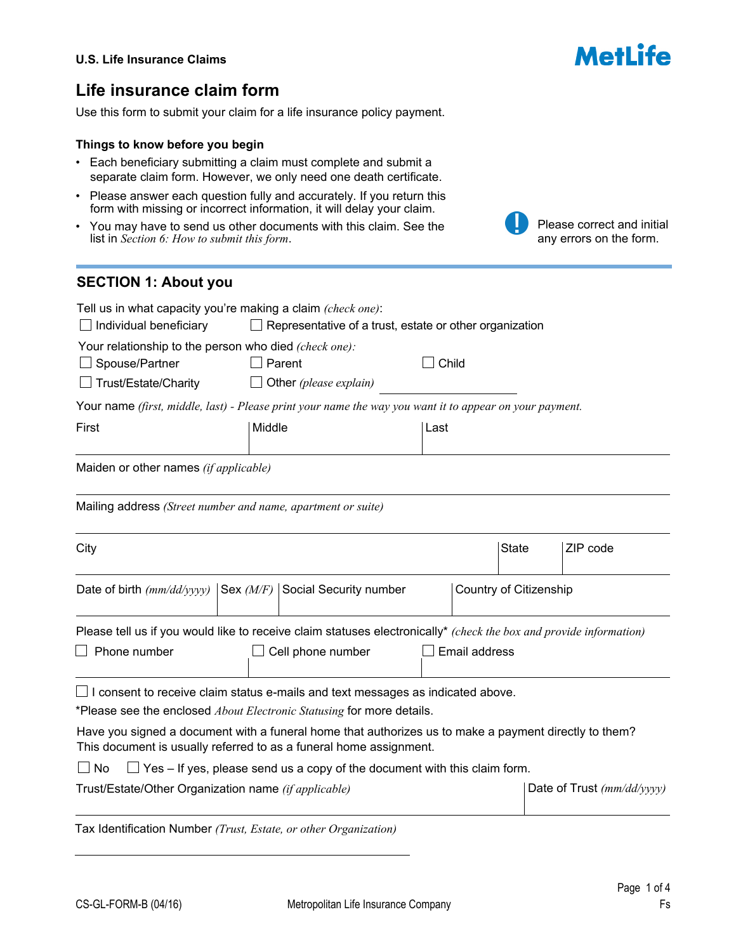# **Life insurance claim form**

Use this form to submit your claim for a life insurance policy payment.

#### **Things to know before you begin**

- Each beneficiary submitting a claim must complete and submit a separate claim form. However, we only need one death certificate.
- Please answer each question fully and accurately. If you return this form with missing or incorrect information, it will delay your claim.
- You may have to send us other documents with this claim. See the list in *Section 6: How to submit this form*.

# any errors on the form. **SECTION 1: About you** Tell us in what capacity you're making a claim *(check one)*:  $\Box$  Individual beneficiary  $\Box$  Representative of a trust, estate or other organization Your relationship to the person who died *(check one):*  $\Box$  Spouse/Partner  $\Box$  Parent  $\Box$  Child Trust/Estate/Charity Other *(please explain)* Your name *(first, middle, last) - Please print your name the way you want it to appear on your payment.* First Last | Middle | Last Maiden or other names *(if applicable)* Mailing address *(Street number and name, apartment or suite)* City State ZIP code  $\vert \mathbf{v} \vert$ Date of birth  $\frac{m}{dd\gamma yyy}$  Sex  $\frac{M}{F}$  Social Security number Country of Citizenship  $\overline{\phantom{a}}$ Please tell us if you would like to receive claim statuses electronically\* *(check the box and provide information)*  $\Box$  Phone number  $\Box$  Cell phone number  $\Box$  Email address I consent to receive claim status e-mails and text messages as indicated above. \*Please see the enclosed *About Electronic Statusing* for more details. Have you signed a document with a funeral home that authorizes us to make a payment directly to them?

This document is usually referred to as a funeral home assignment.

 $\Box$  No  $\Box$  Yes – If yes, please send us a copy of the document with this claim form.

Trust/Estate/Other Organization name *(if applicable)* Date of Trust *(mm/dd/yyyy)* 

Tax Identification Number *(Trust, Estate, or other Organization)*



Please correct and initial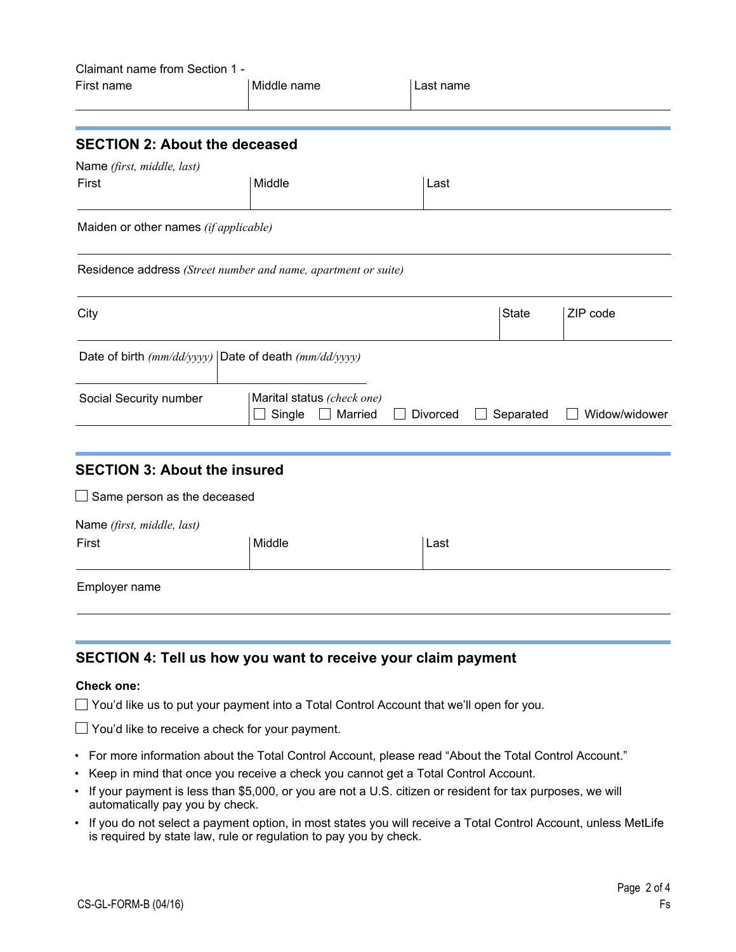| Claimant name from Section 1 -<br>First name                                                                                                      | Middle name                                     | Last name |                                |               |
|---------------------------------------------------------------------------------------------------------------------------------------------------|-------------------------------------------------|-----------|--------------------------------|---------------|
| <b>SECTION 2: About the deceased</b>                                                                                                              |                                                 |           |                                |               |
| Name (first, middle, last)                                                                                                                        |                                                 |           |                                |               |
| First                                                                                                                                             | Middle                                          | Last      |                                |               |
| Maiden or other names (if applicable)                                                                                                             |                                                 |           |                                |               |
| Residence address (Street number and name, apartment or suite)                                                                                    |                                                 |           |                                |               |
| City                                                                                                                                              |                                                 |           | <b>State</b><br>$\blacksquare$ | ZIP code      |
| Date of birth $(mm/dd/yyyy)$ Date of death $(mm/dd/yyyy)$                                                                                         |                                                 |           |                                |               |
| Social Security number                                                                                                                            | Marital status (check one)<br>Single<br>Married | Divorced  | Separated                      | Widow/widower |
| <b>SECTION 3: About the insured</b>                                                                                                               |                                                 |           |                                |               |
| $\Box$ Same person as the deceased                                                                                                                |                                                 |           |                                |               |
| Name (first, middle, last)                                                                                                                        |                                                 |           |                                |               |
| First                                                                                                                                             | Middle                                          | Last      |                                |               |
| Employer name                                                                                                                                     |                                                 |           |                                |               |
|                                                                                                                                                   |                                                 |           |                                |               |
| SECTION 4: Tell us how you want to receive your claim payment                                                                                     |                                                 |           |                                |               |
| <b>Check one:</b>                                                                                                                                 |                                                 |           |                                |               |
| $\Box$ You'd like us to put your payment into a Total Control Account that we'll open for you.                                                    |                                                 |           |                                |               |
| $\Box$ You'd like to receive a check for your payment.                                                                                            |                                                 |           |                                |               |
| • For more information about the Total Control Account, please read "About the Total Control Account."                                            |                                                 |           |                                |               |
| Keep in mind that once you receive a check you cannot get a Total Control Account.<br>$\bullet$                                                   |                                                 |           |                                |               |
| If your payment is less than \$5,000, or you are not a U.S. citizen or resident for tax purposes, we will<br>٠<br>automatically pay you by check. |                                                 |           |                                |               |

• If you do not select a payment option, in most states you will receive a Total Control Account, unless MetLife is required by state law, rule or regulation to pay you by check.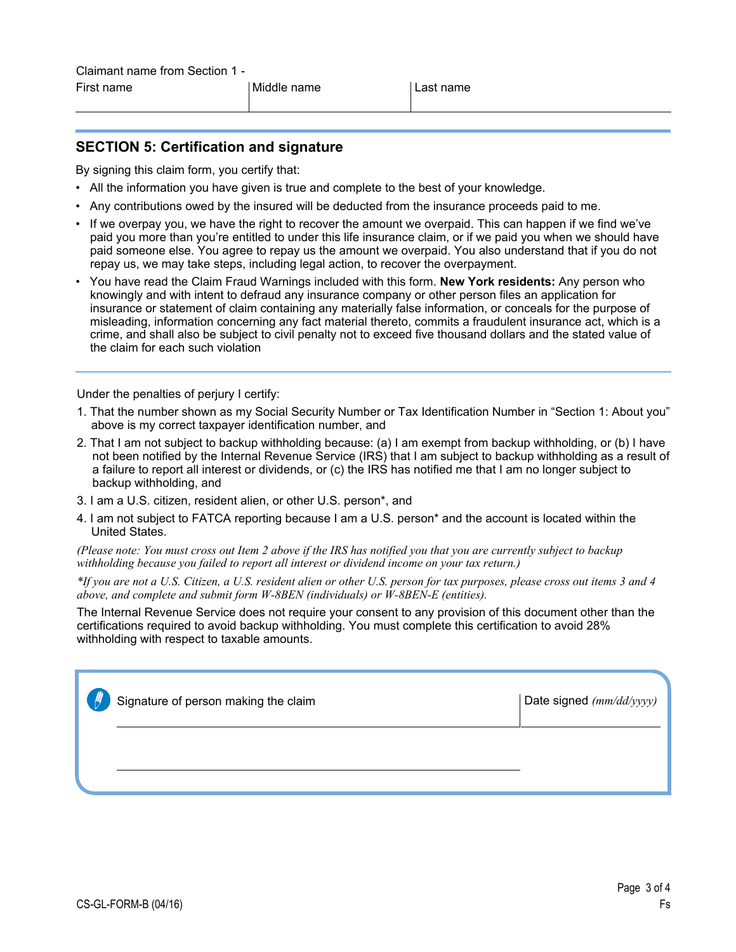# **SECTION 5: Certification and signature**

By signing this claim form, you certify that:

- All the information you have given is true and complete to the best of your knowledge.
- Any contributions owed by the insured will be deducted from the insurance proceeds paid to me.
- If we overpay you, we have the right to recover the amount we overpaid. This can happen if we find we've paid you more than you're entitled to under this life insurance claim, or if we paid you when we should have paid someone else. You agree to repay us the amount we overpaid. You also understand that if you do not repay us, we may take steps, including legal action, to recover the overpayment.
- You have read the Claim Fraud Warnings included with this form. **New York residents:** Any person who knowingly and with intent to defraud any insurance company or other person files an application for insurance or statement of claim containing any materially false information, or conceals for the purpose of misleading, information concerning any fact material thereto, commits a fraudulent insurance act, which is a crime, and shall also be subject to civil penalty not to exceed five thousand dollars and the stated value of the claim for each such violation

Under the penalties of perjury I certify:

- 1. That the number shown as my Social Security Number or Tax Identification Number in "Section 1: About you" above is my correct taxpayer identification number, and
- 2. That I am not subject to backup withholding because: (a) I am exempt from backup withholding, or (b) I have not been notified by the Internal Revenue Service (IRS) that I am subject to backup withholding as a result of a failure to report all interest or dividends, or (c) the IRS has notified me that I am no longer subject to backup withholding, and
- 3. I am a U.S. citizen, resident alien, or other U.S. person\*, and
- 4. I am not subject to FATCA reporting because I am a U.S. person\* and the account is located within the United States.

*(Please note: You must cross out Item 2 above if the IRS has notified you that you are currently subject to backup withholding because you failed to report all interest or dividend income on your tax return.)* 

*\*If you are not a U.S. Citizen, a U.S. resident alien or other U.S. person for tax purposes, please cross out items 3 and 4 above, and complete and submit form W-8BEN (individuals) or W-8BEN-E (entities).* 

The Internal Revenue Service does not require your consent to any provision of this document other than the certifications required to avoid backup withholding. You must complete this certification to avoid 28% withholding with respect to taxable amounts.

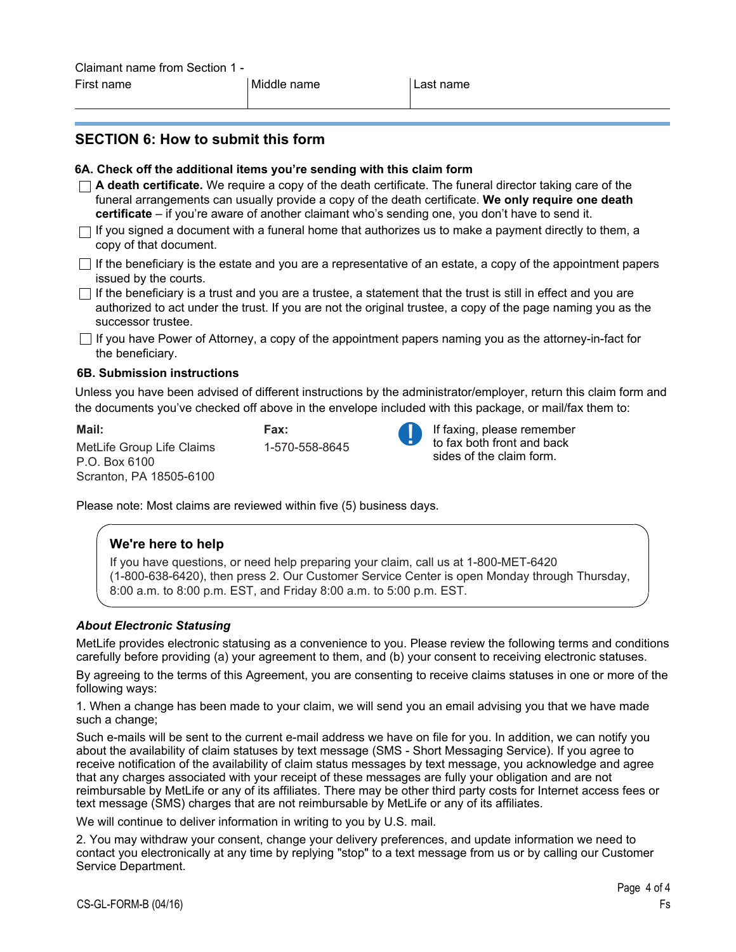# **SECTION 6: How to submit this form**

#### **6A. Check off the additional items you're sending with this claim form**

- **A death certificate.** We require a copy of the death certificate. The funeral director taking care of the funeral arrangements can usually provide a copy of the death certificate. **We only require one death certificate** – if you're aware of another claimant who's sending one, you don't have to send it.  $\Box$  If you signed a document with a funeral home that authorizes us to make a payment directly to them, a
- copy of that document.
- $\Box$  If the beneficiary is the estate and you are a representative of an estate, a copy of the appointment papers issued by the courts.
- $\Box$  If the beneficiary is a trust and you are a trustee, a statement that the trust is still in effect and you are authorized to act under the trust. If you are not the original trustee, a copy of the page naming you as the successor trustee.
- $\Box$  If you have Power of Attorney, a copy of the appointment papers naming you as the attorney-in-fact for the beneficiary.

#### **6B. Submission instructions**

Unless you have been advised of different instructions by the administrator/employer, return this claim form and the documents you've checked off above in the envelope included with this package, or mail/fax them to:

**Mail:**  MetLife Group Life Claims P.O. Box 6100 Scranton, PA 18505-6100 **Fax:**  1-570-558-8645



If faxing, please remember to fax both front and back sides of the claim form.

Please note: Most claims are reviewed within five (5) business days.

#### **We're here to help**

If you have questions, or need help preparing your claim, call us at 1-800-MET-6420 (1-800-638-6420), then press 2. Our Customer Service Center is open Monday through Thursday, 8:00 a.m. to 8:00 p.m. EST, and Friday 8:00 a.m. to 5:00 p.m. EST.

#### *About Electronic Statusing*

MetLife provides electronic statusing as a convenience to you. Please review the following terms and conditions carefully before providing (a) your agreement to them, and (b) your consent to receiving electronic statuses.

By agreeing to the terms of this Agreement, you are consenting to receive claims statuses in one or more of the following ways:

1. When a change has been made to your claim, we will send you an email advising you that we have made such a change;

Such e-mails will be sent to the current e-mail address we have on file for you. In addition, we can notify you about the availability of claim statuses by text message (SMS - Short Messaging Service). If you agree to receive notification of the availability of claim status messages by text message, you acknowledge and agree that any charges associated with your receipt of these messages are fully your obligation and are not reimbursable by MetLife or any of its affiliates. There may be other third party costs for Internet access fees or text message (SMS) charges that are not reimbursable by MetLife or any of its affiliates.

We will continue to deliver information in writing to you by U.S. mail.

2. You may withdraw your consent, change your delivery preferences, and update information we need to contact you electronically at any time by replying "stop" to a text message from us or by calling our Customer Service Department.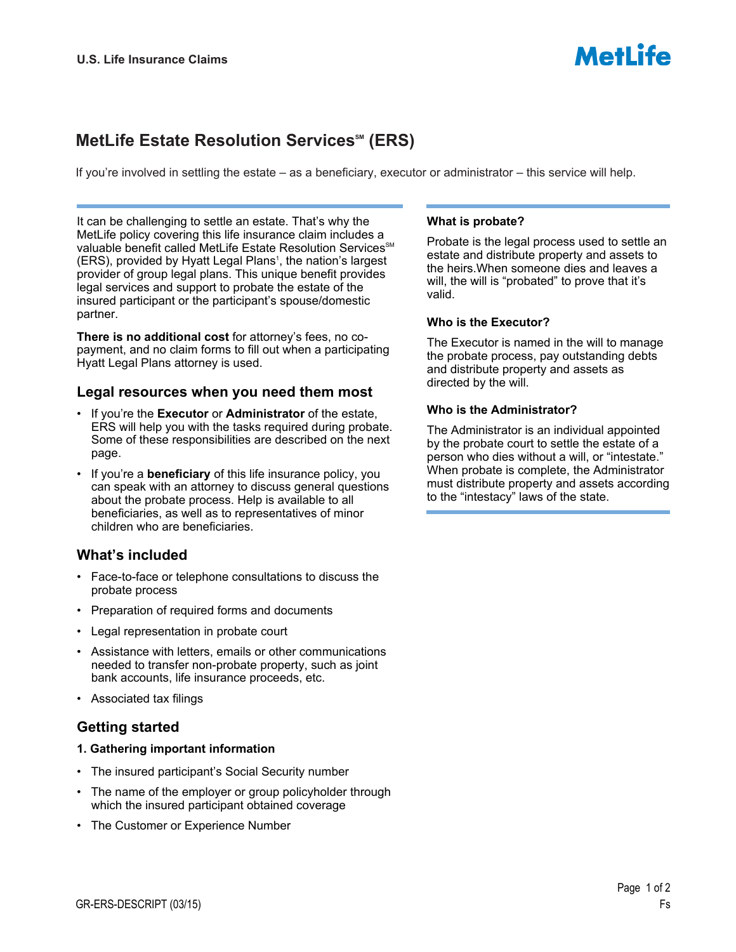# **MetLife Estate Resolution Services<sup>™</sup> (ERS)**

If you're involved in settling the estate – as a beneficiary, executor or administrator – this service will help.

It can be challenging to settle an estate. That's why the MetLife policy covering this life insurance claim includes a valuable benefit called MetLife Estate Resolution Services<sup>SM</sup> (ERS), provided by Hyatt Legal Plans<sup>1</sup>, the nation's largest provider of group legal plans. This unique benefit provides legal services and support to probate the estate of the insured participant or the participant's spouse/domestic partner.

**There is no additional cost** for attorney's fees, no copayment, and no claim forms to fill out when a participating Hyatt Legal Plans attorney is used.

### **Legal resources when you need them most**

- If you're the **Executor** or **Administrator** of the estate, ERS will help you with the tasks required during probate. Some of these responsibilities are described on the next page.
- If you're a **beneficiary** of this life insurance policy, you can speak with an attorney to discuss general questions about the probate process. Help is available to all beneficiaries, as well as to representatives of minor children who are beneficiaries.

# **What's included**

- Face-to-face or telephone consultations to discuss the probate process
- Preparation of required forms and documents
- Legal representation in probate court
- Assistance with letters, emails or other communications needed to transfer non-probate property, such as joint bank accounts, life insurance proceeds, etc.
- Associated tax filings

# **Getting started**

- **1. Gathering important information**
- The insured participant's Social Security number
- The name of the employer or group policyholder through which the insured participant obtained coverage
- The Customer or Experience Number

#### **What is probate?**

Probate is the legal process used to settle an estate and distribute property and assets to the heirs.When someone dies and leaves a will, the will is "probated" to prove that it's valid.

**MetLife** 

#### **Who is the Executor?**

The Executor is named in the will to manage the probate process, pay outstanding debts and distribute property and assets as directed by the will.

#### **Who is the Administrator?**

The Administrator is an individual appointed by the probate court to settle the estate of a person who dies without a will, or "intestate." When probate is complete, the Administrator must distribute property and assets according to the "intestacy" laws of the state.